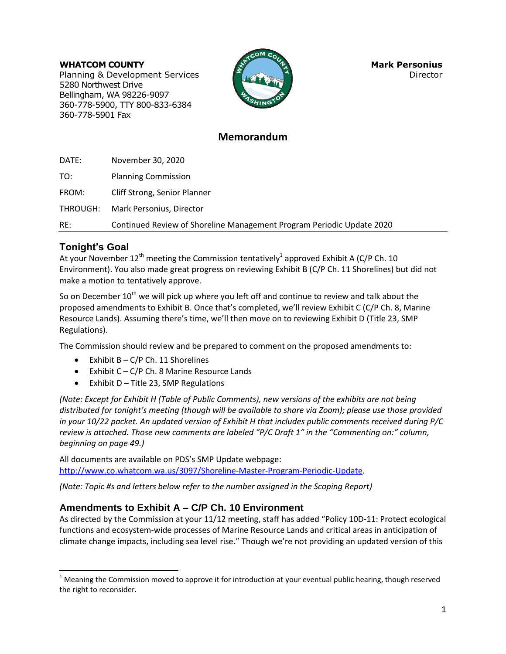#### **WHATCOM COUNTY Mark Personius Mark Personius**

Planning & Development Services **Director Director** 5280 Northwest Drive Bellingham, WA 98226-9097 360-778-5900, TTY 800-833-6384 360-778-5901 Fax



# **Memorandum**

DATE: November 30, 2020 TO: Planning Commission FROM: Cliff Strong, Senior Planner THROUGH: Mark Personius, Director RE: Continued Review of Shoreline Management Program Periodic Update 2020

## **Tonight's Goal**

l

At your November 12<sup>th</sup> meeting the Commission tentatively<sup>1</sup> approved Exhibit A (C/P Ch. 10 Environment). You also made great progress on reviewing Exhibit B (C/P Ch. 11 Shorelines) but did not make a motion to tentatively approve.

So on December 10<sup>th</sup> we will pick up where you left off and continue to review and talk about the proposed amendments to Exhibit B. Once that's completed, we'll review Exhibit C (C/P Ch. 8, Marine Resource Lands). Assuming there's time, we'll then move on to reviewing Exhibit D (Title 23, SMP Regulations).

The Commission should review and be prepared to comment on the proposed amendments to:

- $\bullet$  Exhibit B C/P Ch. 11 Shorelines
- **•** Exhibit  $C C/P$  Ch. 8 Marine Resource Lands
- $\bullet$  Exhibit D Title 23, SMP Regulations

*(Note: Except for Exhibit H (Table of Public Comments), new versions of the exhibits are not being distributed for tonight's meeting (though will be available to share via Zoom); please use those provided in your 10/22 packet. An updated version of Exhibit H that includes public comments received during P/C review is attached. Those new comments are labeled "P/C Draft 1" in the "Commenting on:" column, beginning on page 49.)*

All documents are available on PDS's SMP Update webpage: [http://www.co.whatcom.wa.us/3097/Shoreline-Master-Program-Periodic-Update.](http://www.co.whatcom.wa.us/3097/Shoreline-Master-Program-Periodic-Update)

*(Note: Topic #s and letters below refer to the number assigned in the Scoping Report)*

# **Amendments to Exhibit A – C/P Ch. 10 Environment**

As directed by the Commission at your 11/12 meeting, staff has added "Policy 10D-11: Protect ecological functions and ecosystem-wide processes of Marine Resource Lands and critical areas in anticipation of climate change impacts, including sea level rise." Though we're not providing an updated version of this

 $1$  Meaning the Commission moved to approve it for introduction at your eventual public hearing, though reserved the right to reconsider.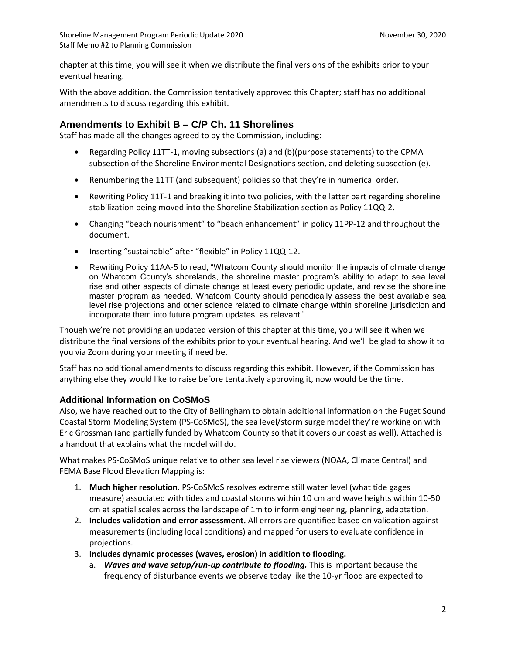chapter at this time, you will see it when we distribute the final versions of the exhibits prior to your eventual hearing.

With the above addition, the Commission tentatively approved this Chapter; staff has no additional amendments to discuss regarding this exhibit.

## **Amendments to Exhibit B – C/P Ch. 11 Shorelines**

Staff has made all the changes agreed to by the Commission, including:

- Regarding Policy 11TT-1, moving subsections (a) and (b)(purpose statements) to the CPMA subsection of the Shoreline Environmental Designations section, and deleting subsection (e).
- Renumbering the 11TT (and subsequent) policies so that they're in numerical order.
- Rewriting Policy 11T-1 and breaking it into two policies, with the latter part regarding shoreline stabilization being moved into the Shoreline Stabilization section as Policy 11QQ-2.
- Changing "beach nourishment" to "beach enhancement" in policy 11PP-12 and throughout the document.
- Inserting "sustainable" after "flexible" in Policy 11QQ-12.
- Rewriting Policy 11AA-5 to read, "Whatcom County should monitor the impacts of climate change on Whatcom County's shorelands, the shoreline master program's ability to adapt to sea level rise and other aspects of climate change at least every periodic update, and revise the shoreline master program as needed. Whatcom County should periodically assess the best available sea level rise projections and other science related to climate change within shoreline jurisdiction and incorporate them into future program updates, as relevant."

Though we're not providing an updated version of this chapter at this time, you will see it when we distribute the final versions of the exhibits prior to your eventual hearing. And we'll be glad to show it to you via Zoom during your meeting if need be.

Staff has no additional amendments to discuss regarding this exhibit. However, if the Commission has anything else they would like to raise before tentatively approving it, now would be the time.

#### **Additional Information on CoSMoS**

Also, we have reached out to the City of Bellingham to obtain additional information on the Puget Sound Coastal Storm Modeling System (PS-CoSMoS), the sea level/storm surge model they're working on with Eric Grossman (and partially funded by Whatcom County so that it covers our coast as well). Attached is a handout that explains what the model will do.

What makes PS-CoSMoS unique relative to other sea level rise viewers (NOAA, Climate Central) and FEMA Base Flood Elevation Mapping is:

- 1. **Much higher resolution**. PS-CoSMoS resolves extreme still water level (what tide gages measure) associated with tides and coastal storms within 10 cm and wave heights within 10-50 cm at spatial scales across the landscape of 1m to inform engineering, planning, adaptation.
- 2. **Includes validation and error assessment.** All errors are quantified based on validation against measurements (including local conditions) and mapped for users to evaluate confidence in projections.
- 3. **Includes dynamic processes (waves, erosion) in addition to flooding.**
	- a. *Waves and wave setup/run-up contribute to flooding.* This is important because the frequency of disturbance events we observe today like the 10-yr flood are expected to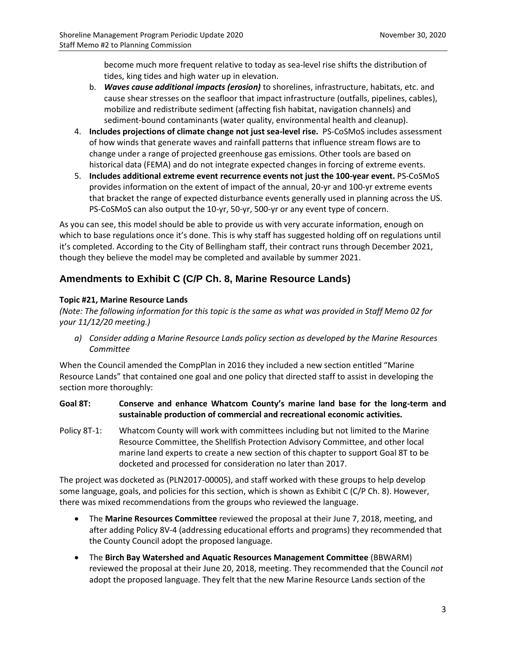become much more frequent relative to today as sea-level rise shifts the distribution of tides, king tides and high water up in elevation.

- b. *Waves cause additional impacts (erosion)* to shorelines, infrastructure, habitats, etc. and cause shear stresses on the seafloor that impact infrastructure (outfalls, pipelines, cables), mobilize and redistribute sediment (affecting fish habitat, navigation channels) and sediment-bound contaminants (water quality, environmental health and cleanup).
- 4. **Includes projections of climate change not just sea-level rise.** PS-CoSMoS includes assessment of how winds that generate waves and rainfall patterns that influence stream flows are to change under a range of projected greenhouse gas emissions. Other tools are based on historical data (FEMA) and do not integrate expected changes in forcing of extreme events.
- 5. **Includes additional extreme event recurrence events not just the 100-year event.** PS-CoSMoS provides information on the extent of impact of the annual, 20-yr and 100-yr extreme events that bracket the range of expected disturbance events generally used in planning across the US. PS-CoSMoS can also output the 10-yr, 50-yr, 500-yr or any event type of concern.

As you can see, this model should be able to provide us with very accurate information, enough on which to base regulations once it's done. This is why staff has suggested holding off on regulations until it's completed. According to the City of Bellingham staff, their contract runs through December 2021, though they believe the model may be completed and available by summer 2021.

# **Amendments to Exhibit C (C/P Ch. 8, Marine Resource Lands)**

## **Topic #21, Marine Resource Lands**

*(Note: The following information for this topic is the same as what was provided in Staff Memo 02 for your 11/12/20 meeting.)*

*a) Consider adding a Marine Resource Lands policy section as developed by the Marine Resources Committee*

When the Council amended the CompPlan in 2016 they included a new section entitled "Marine Resource Lands" that contained one goal and one policy that directed staff to assist in developing the section more thoroughly:

### **Goal 8T: Conserve and enhance Whatcom County's marine land base for the long-term and sustainable production of commercial and recreational economic activities.**

Policy 8T-1: Whatcom County will work with committees including but not limited to the Marine Resource Committee, the Shellfish Protection Advisory Committee, and other local marine land experts to create a new section of this chapter to support Goal 8T to be docketed and processed for consideration no later than 2017.

The project was docketed as (PLN2017-00005), and staff worked with these groups to help develop some language, goals, and policies for this section, which is shown as Exhibit C (C/P Ch. 8). However, there was mixed recommendations from the groups who reviewed the language.

- The **Marine Resources Committee** reviewed the proposal at their June 7, 2018, meeting, and after adding Policy 8V-4 (addressing educational efforts and programs) they recommended that the County Council adopt the proposed language.
- The **Birch Bay Watershed and Aquatic Resources Management Committee** (BBWARM) reviewed the proposal at their June 20, 2018, meeting. They recommended that the Council *not* adopt the proposed language. They felt that the new Marine Resource Lands section of the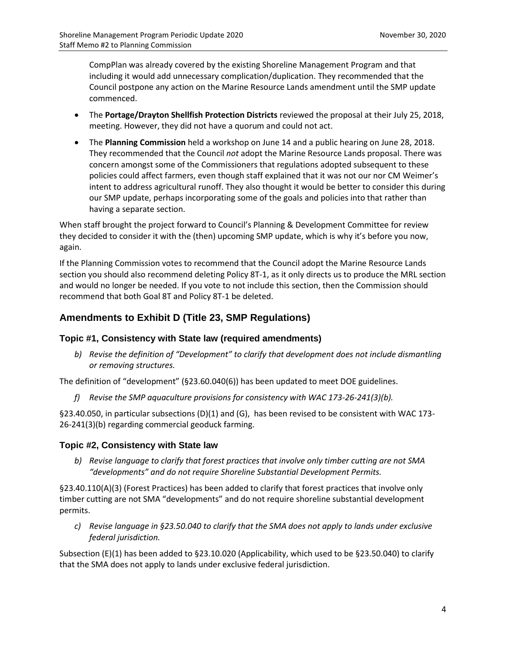CompPlan was already covered by the existing Shoreline Management Program and that including it would add unnecessary complication/duplication. They recommended that the Council postpone any action on the Marine Resource Lands amendment until the SMP update commenced.

- The **Portage/Drayton Shellfish Protection Districts** reviewed the proposal at their July 25, 2018, meeting. However, they did not have a quorum and could not act.
- The **Planning Commission** held a workshop on June 14 and a public hearing on June 28, 2018. They recommended that the Council *not* adopt the Marine Resource Lands proposal. There was concern amongst some of the Commissioners that regulations adopted subsequent to these policies could affect farmers, even though staff explained that it was not our nor CM Weimer's intent to address agricultural runoff. They also thought it would be better to consider this during our SMP update, perhaps incorporating some of the goals and policies into that rather than having a separate section.

When staff brought the project forward to Council's Planning & Development Committee for review they decided to consider it with the (then) upcoming SMP update, which is why it's before you now, again.

If the Planning Commission votes to recommend that the Council adopt the Marine Resource Lands section you should also recommend deleting Policy 8T-1, as it only directs us to produce the MRL section and would no longer be needed. If you vote to not include this section, then the Commission should recommend that both Goal 8T and Policy 8T-1 be deleted.

## **Amendments to Exhibit D (Title 23, SMP Regulations)**

## **Topic #1, Consistency with State law (required amendments)**

*b) Revise the definition of "Development" to clarify that development does not include dismantling or removing structures.*

The definition of "development" (§23.60.040(6)) has been updated to meet DOE guidelines.

*f) Revise the SMP aquaculture provisions for consistency with WAC 173-26-241(3)(b).*

§23.40.050, in particular subsections (D)(1) and (G), has been revised to be consistent with WAC 173- 26-241(3)(b) regarding commercial geoduck farming.

## **Topic #2, Consistency with State law**

*b) Revise language to clarify that forest practices that involve only timber cutting are not SMA "developments" and do not require Shoreline Substantial Development Permits.*

§23.40.110(A)(3) (Forest Practices) has been added to clarify that forest practices that involve only timber cutting are not SMA "developments" and do not require shoreline substantial development permits.

*c) Revise language in §23.50.040 to clarify that the SMA does not apply to lands under exclusive federal jurisdiction.* 

Subsection (E)(1) has been added to §23.10.020 (Applicability, which used to be §23.50.040) to clarify that the SMA does not apply to lands under exclusive federal jurisdiction.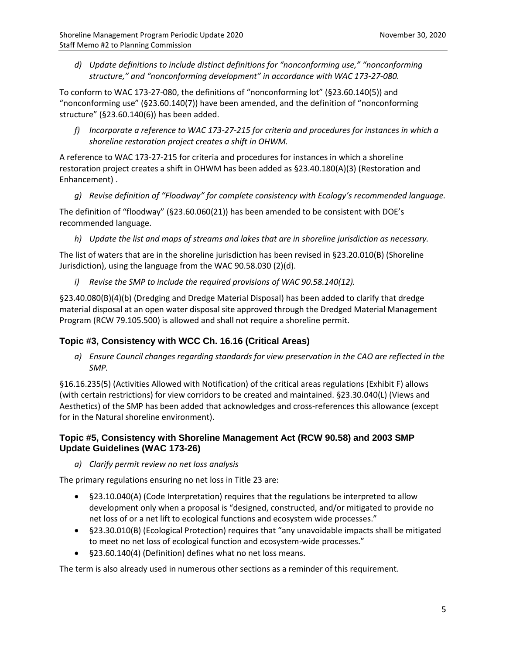*d) Update definitions to include distinct definitions for "nonconforming use," "nonconforming structure," and "nonconforming development" in accordance with WAC 173-27-080.*

To conform to WAC 173-27-080, the definitions of "nonconforming lot" (§23.60.140(5)) and "nonconforming use" (§23.60.140(7)) have been amended, and the definition of "nonconforming structure" (§23.60.140(6)) has been added.

*f) Incorporate a reference to WAC 173-27-215 for criteria and procedures for instances in which a shoreline restoration project creates a shift in OHWM.*

A reference to WAC 173-27-215 for criteria and procedures for instances in which a shoreline restoration project creates a shift in OHWM has been added as §23.40.180(A)(3) (Restoration and Enhancement) .

*g) Revise definition of "Floodway" for complete consistency with Ecology's recommended language.*

The definition of "floodway" (§23.60.060(21)) has been amended to be consistent with DOE's recommended language.

*h) Update the list and maps of streams and lakes that are in shoreline jurisdiction as necessary.*

The list of waters that are in the shoreline jurisdiction has been revised in §23.20.010(B) (Shoreline Jurisdiction), using the language from the WAC 90.58.030 (2)(d).

*i) Revise the SMP to include the required provisions of WAC 90.58.140(12).*

§23.40.080(B)(4)(b) (Dredging and Dredge Material Disposal) has been added to clarify that dredge material disposal at an open water disposal site approved through the Dredged Material Management Program (RCW 79.105.500) is allowed and shall not require a shoreline permit.

#### **Topic #3, Consistency with WCC Ch. 16.16 (Critical Areas)**

*a) Ensure Council changes regarding standards for view preservation in the CAO are reflected in the SMP.*

§16.16.235(5) (Activities Allowed with Notification) of the critical areas regulations (Exhibit F) allows (with certain restrictions) for view corridors to be created and maintained. §23.30.040(L) (Views and Aesthetics) of the SMP has been added that acknowledges and cross-references this allowance (except for in the Natural shoreline environment).

### **Topic #5, Consistency with Shoreline Management Act (RCW 90.58) and 2003 SMP Update Guidelines (WAC 173-26)**

*a) Clarify permit review no net loss analysis* 

The primary regulations ensuring no net loss in Title 23 are:

- §23.10.040(A) (Code Interpretation) requires that the regulations be interpreted to allow development only when a proposal is "designed, constructed, and/or mitigated to provide no net loss of or a net lift to ecological functions and ecosystem wide processes."
- §23.30.010(B) (Ecological Protection) requires that "any unavoidable impacts shall be mitigated to meet no net loss of ecological function and ecosystem-wide processes."
- §23.60.140(4) (Definition) defines what no net loss means.

The term is also already used in numerous other sections as a reminder of this requirement.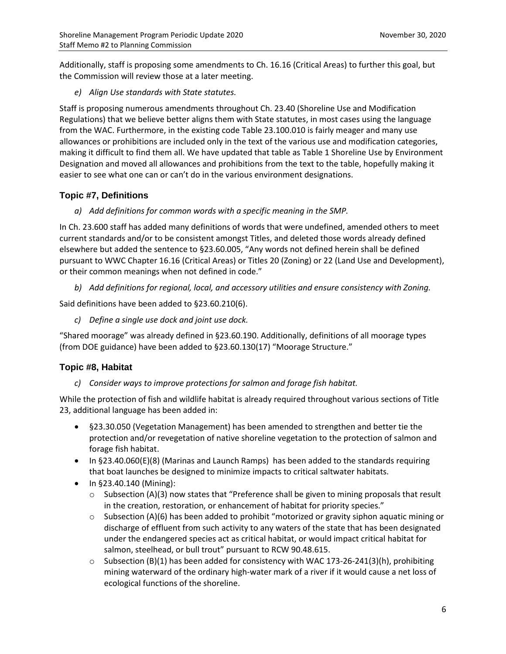Additionally, staff is proposing some amendments to Ch. 16.16 (Critical Areas) to further this goal, but the Commission will review those at a later meeting.

*e) Align Use standards with State statutes.*

Staff is proposing numerous amendments throughout Ch. 23.40 (Shoreline Use and Modification Regulations) that we believe better aligns them with State statutes, in most cases using the language from the WAC. Furthermore, in the existing code Table 23.100.010 is fairly meager and many use allowances or prohibitions are included only in the text of the various use and modification categories, making it difficult to find them all. We have updated that table as Table 1 Shoreline Use by Environment Designation and moved all allowances and prohibitions from the text to the table, hopefully making it easier to see what one can or can't do in the various environment designations.

## **Topic #7, Definitions**

*a) Add definitions for common words with a specific meaning in the SMP.* 

In Ch. 23.600 staff has added many definitions of words that were undefined, amended others to meet current standards and/or to be consistent amongst Titles, and deleted those words already defined elsewhere but added the sentence to §23.60.005, "Any words not defined herein shall be defined pursuant to WWC Chapter 16.16 (Critical Areas) or Titles 20 (Zoning) or 22 (Land Use and Development), or their common meanings when not defined in code."

*b) Add definitions for regional, local, and accessory utilities and ensure consistency with Zoning.*

Said definitions have been added to §23.60.210(6).

*c) Define a single use dock and joint use dock.*

"Shared moorage" was already defined in §23.60.190. Additionally, definitions of all moorage types (from DOE guidance) have been added to §23.60.130(17) "Moorage Structure."

## **Topic #8, Habitat**

*c) Consider ways to improve protections for salmon and forage fish habitat.*

While the protection of fish and wildlife habitat is already required throughout various sections of Title 23, additional language has been added in:

- §23.30.050 (Vegetation Management) has been amended to strengthen and better tie the protection and/or revegetation of native shoreline vegetation to the protection of salmon and forage fish habitat.
- $\bullet$  In §23.40.060(E)(8) (Marinas and Launch Ramps) has been added to the standards requiring that boat launches be designed to minimize impacts to critical saltwater habitats.
- $\bullet$  In §23.40.140 (Mining):
	- $\circ$  Subsection (A)(3) now states that "Preference shall be given to mining proposals that result in the creation, restoration, or enhancement of habitat for priority species."
	- $\circ$  Subsection (A)(6) has been added to prohibit "motorized or gravity siphon aquatic mining or discharge of effluent from such activity to any waters of the state that has been designated under the endangered species act as critical habitat, or would impact critical habitat for salmon, steelhead, or bull trout" pursuant to RCW 90.48.615.
	- $\circ$  Subsection (B)(1) has been added for consistency with WAC 173-26-241(3)(h), prohibiting mining waterward of the ordinary high-water mark of a river if it would cause a net loss of ecological functions of the shoreline.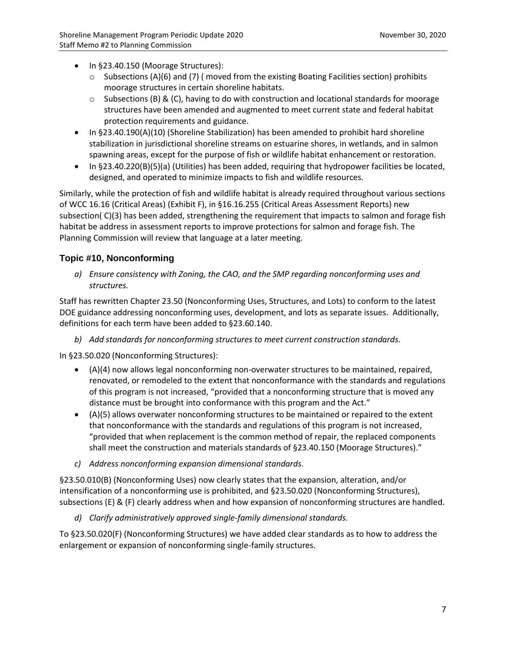- In §23.40.150 (Moorage Structures):
	- $\circ$  Subsections (A)(6) and (7) (moved from the existing Boating Facilities section) prohibits moorage structures in certain shoreline habitats.
	- $\circ$  Subsections (B) & (C), having to do with construction and locational standards for moorage structures have been amended and augmented to meet current state and federal habitat protection requirements and guidance.
- In §23.40.190(A)(10) (Shoreline Stabilization) has been amended to prohibit hard shoreline stabilization in jurisdictional shoreline streams on estuarine shores, in wetlands, and in salmon spawning areas, except for the purpose of fish or wildlife habitat enhancement or restoration.
- In §23.40.220(B)(5)(a) (Utilities) has been added, requiring that hydropower facilities be located, designed, and operated to minimize impacts to fish and wildlife resources.

Similarly, while the protection of fish and wildlife habitat is already required throughout various sections of WCC 16.16 (Critical Areas) (Exhibit F), in §16.16.255 (Critical Areas Assessment Reports) new subsection( C)(3) has been added, strengthening the requirement that impacts to salmon and forage fish habitat be address in assessment reports to improve protections for salmon and forage fish. The Planning Commission will review that language at a later meeting.

## **Topic #10, Nonconforming**

*a) Ensure consistency with Zoning, the CAO, and the SMP regarding nonconforming uses and structures.*

Staff has rewritten Chapter 23.50 (Nonconforming Uses, Structures, and Lots) to conform to the latest DOE guidance addressing nonconforming uses, development, and lots as separate issues. Additionally, definitions for each term have been added to §23.60.140.

*b) Add standards for nonconforming structures to meet current construction standards.*

In §23.50.020 (Nonconforming Structures):

- $\bullet$  (A)(4) now allows legal nonconforming non-overwater structures to be maintained, repaired, renovated, or remodeled to the extent that nonconformance with the standards and regulations of this program is not increased, "provided that a nonconforming structure that is moved any distance must be brought into conformance with this program and the Act."
- (A)(5) allows overwater nonconforming structures to be maintained or repaired to the extent that nonconformance with the standards and regulations of this program is not increased, "provided that when replacement is the common method of repair, the replaced components shall meet the construction and materials standards of §23.40.150 (Moorage Structures)."
- *c) Address nonconforming expansion dimensional standards.*

§23.50.010(B) (Nonconforming Uses) now clearly states that the expansion, alteration, and/or intensification of a nonconforming use is prohibited, and §23.50.020 (Nonconforming Structures), subsections (E) & (F) clearly address when and how expansion of nonconforming structures are handled.

*d) Clarify administratively approved single-family dimensional standards.*

To §23.50.020(F) (Nonconforming Structures) we have added clear standards as to how to address the enlargement or expansion of nonconforming single-family structures.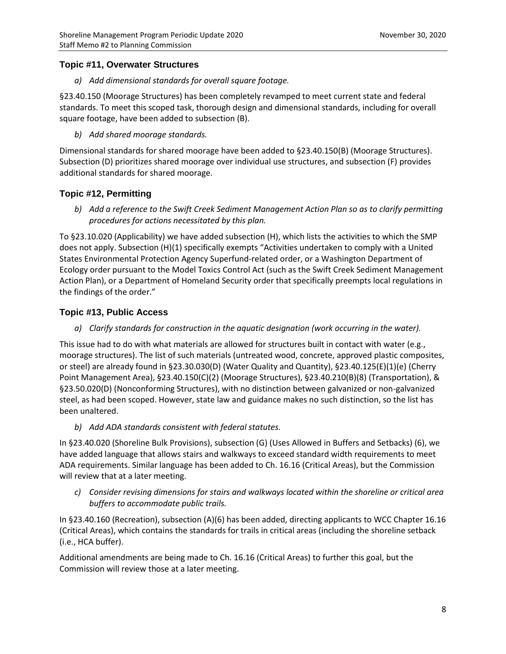### **Topic #11, Overwater Structures**

*a) Add dimensional standards for overall square footage.*

§23.40.150 (Moorage Structures) has been completely revamped to meet current state and federal standards. To meet this scoped task, thorough design and dimensional standards, including for overall square footage, have been added to subsection (B).

*b) Add shared moorage standards.*

Dimensional standards for shared moorage have been added to §23.40.150(B) (Moorage Structures). Subsection (D) prioritizes shared moorage over individual use structures, and subsection (F) provides additional standards for shared moorage.

### **Topic #12, Permitting**

*b) Add a reference to the Swift Creek Sediment Management Action Plan so as to clarify permitting procedures for actions necessitated by this plan.*

To §23.10.020 (Applicability) we have added subsection (H), which lists the activities to which the SMP does not apply. Subsection (H)(1) specifically exempts "Activities undertaken to comply with a United States Environmental Protection Agency Superfund-related order, or a Washington Department of Ecology order pursuant to the Model Toxics Control Act (such as the Swift Creek Sediment Management Action Plan), or a Department of Homeland Security order that specifically preempts local regulations in the findings of the order."

### **Topic #13, Public Access**

*a) Clarify standards for construction in the aquatic designation (work occurring in the water).*

This issue had to do with what materials are allowed for structures built in contact with water (e.g., moorage structures). The list of such materials (untreated wood, concrete, approved plastic composites, or steel) are already found in §23.30.030(D) (Water Quality and Quantity), §23.40.125(E)(1)(e) (Cherry Point Management Area), §23.40.150(C)(2) (Moorage Structures), §23.40.210(B)(8) (Transportation), & §23.50.020(D) (Nonconforming Structures), with no distinction between galvanized or non-galvanized steel, as had been scoped. However, state law and guidance makes no such distinction, so the list has been unaltered.

*b) Add ADA standards consistent with federal statutes.*

In §23.40.020 (Shoreline Bulk Provisions), subsection (G) (Uses Allowed in Buffers and Setbacks) (6), we have added language that allows stairs and walkways to exceed standard width requirements to meet ADA requirements. Similar language has been added to Ch. 16.16 (Critical Areas), but the Commission will review that at a later meeting.

*c) Consider revising dimensions for stairs and walkways located within the shoreline or critical area buffers to accommodate public trails.*

In §23.40.160 (Recreation), subsection (A)(6) has been added, directing applicants to WCC Chapter 16.16 (Critical Areas), which contains the standards for trails in critical areas (including the shoreline setback (i.e., HCA buffer).

Additional amendments are being made to Ch. 16.16 (Critical Areas) to further this goal, but the Commission will review those at a later meeting.